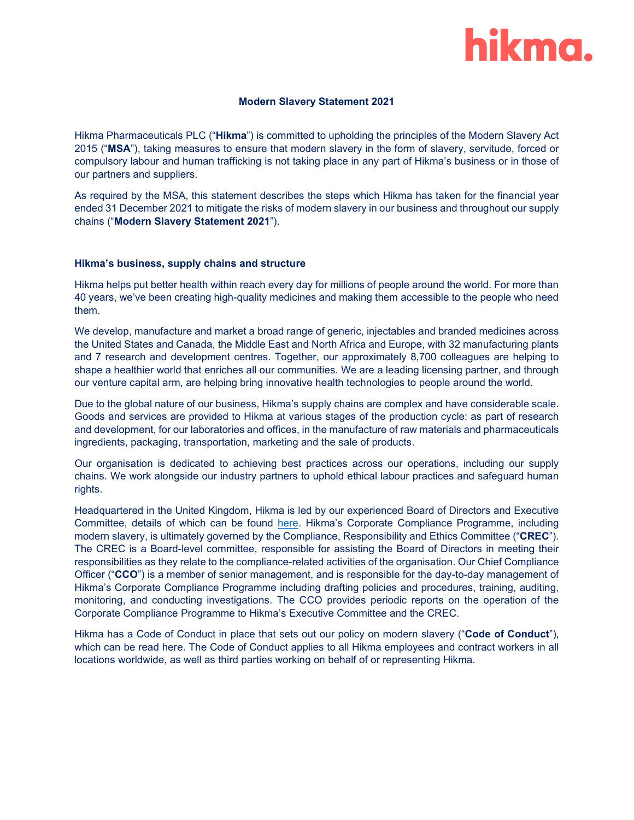

# **Modern Slavery Statement 2021**

Hikma Pharmaceuticals PLC ("**Hikma**") is committed to upholding the principles of the Modern Slavery Act 2015 ("**MSA**"), taking measures to ensure that modern slavery in the form of slavery, servitude, forced or compulsory labour and human trafficking is not taking place in any part of Hikma's business or in those of our partners and suppliers.

As required by the MSA, this statement describes the steps which Hikma has taken for the financial year ended 31 December 2021 to mitigate the risks of modern slavery in our business and throughout our supply chains ("**Modern Slavery Statement 2021**").

# **Hikma's business, supply chains and structure**

Hikma helps put better health within reach every day for millions of people around the world. For more than 40 years, we've been creating high-quality medicines and making them accessible to the people who need them.

We develop, manufacture and market a broad range of generic, injectables and branded medicines across the United States and Canada, the Middle East and North Africa and Europe, with 32 manufacturing plants and 7 research and development centres. Together, our approximately 8,700 colleagues are helping to shape a healthier world that enriches all our communities. We are a leading licensing partner, and through our venture capital arm, are helping bring innovative health technologies to people around the world.

Due to the global nature of our business, Hikma's supply chains are complex and have considerable scale. Goods and services are provided to Hikma at various stages of the production cycle: as part of research and development, for our laboratories and offices, in the manufacture of raw materials and pharmaceuticals ingredients, packaging, transportation, marketing and the sale of products.

Our organisation is dedicated to achieving best practices across our operations, including our supply chains. We work alongside our industry partners to uphold ethical labour practices and safeguard human rights.

Headquartered in the United Kingdom, Hikma is led by our experienced Board of Directors and Executive Committee, details of which can be found [here.](https://www.hikma.com/about/leadership/) Hikma's Corporate Compliance Programme, including modern slavery, is ultimately governed by the Compliance, Responsibility and Ethics Committee ("**CREC**"). The CREC is a Board-level committee, responsible for assisting the Board of Directors in meeting their responsibilities as they relate to the compliance-related activities of the organisation. Our Chief Compliance Officer ("**CCO**") is a member of senior management, and is responsible for the day-to-day management of Hikma's Corporate Compliance Programme including drafting policies and procedures, training, auditing, monitoring, and conducting investigations. The CCO provides periodic reports on the operation of the Corporate Compliance Programme to Hikma's Executive Committee and the CREC.

Hikma has a Code of Conduct in place that sets out our policy on modern slavery ("**Code of Conduct**"), which can be read [here.](https://www.hikma.com/about/ethics-and-compliance/code-of-conduct/) The Code of Conduct applies to all Hikma employees and contract workers in all locations worldwide, as well as third parties working on behalf of or representing Hikma.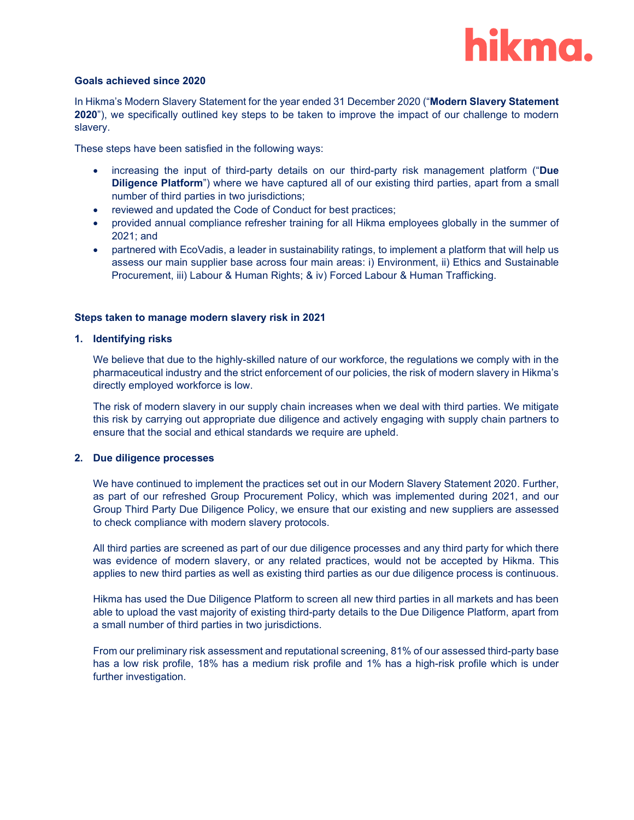

### **Goals achieved since 2020**

In Hikma's Modern Slavery Statement for the year ended 31 December 2020 ("**Modern Slavery Statement 2020**"), we specifically outlined key steps to be taken to improve the impact of our challenge to modern slavery.

These steps have been satisfied in the following ways:

- increasing the input of third-party details on our third-party risk management platform ("**Due Diligence Platform**") where we have captured all of our existing third parties, apart from a small number of third parties in two jurisdictions;
- reviewed and updated the Code of Conduct for best practices;
- provided annual compliance refresher training for all Hikma employees globally in the summer of 2021; and
- partnered with EcoVadis, a leader in sustainability ratings, to implement a platform that will help us assess our main supplier base across four main areas: i) Environment, ii) Ethics and Sustainable Procurement, iii) Labour & Human Rights; & iv) Forced Labour & Human Trafficking.

### **Steps taken to manage modern slavery risk in 2021**

### **1. Identifying risks**

We believe that due to the highly-skilled nature of our workforce, the regulations we comply with in the pharmaceutical industry and the strict enforcement of our policies, the risk of modern slavery in Hikma's directly employed workforce is low.

The risk of modern slavery in our supply chain increases when we deal with third parties. We mitigate this risk by carrying out appropriate due diligence and actively engaging with supply chain partners to ensure that the social and ethical standards we require are upheld.

# **2. Due diligence processes**

We have continued to implement the practices set out in our Modern Slavery Statement 2020. Further, as part of our refreshed Group Procurement Policy, which was implemented during 2021, and our Group Third Party Due Diligence Policy, we ensure that our existing and new suppliers are assessed to check compliance with modern slavery protocols.

All third parties are screened as part of our due diligence processes and any third party for which there was evidence of modern slavery, or any related practices, would not be accepted by Hikma. This applies to new third parties as well as existing third parties as our due diligence process is continuous.

Hikma has used the Due Diligence Platform to screen all new third parties in all markets and has been able to upload the vast majority of existing third-party details to the Due Diligence Platform, apart from a small number of third parties in two jurisdictions.

From our preliminary risk assessment and reputational screening, 81% of our assessed third-party base has a low risk profile, 18% has a medium risk profile and 1% has a high-risk profile which is under further investigation.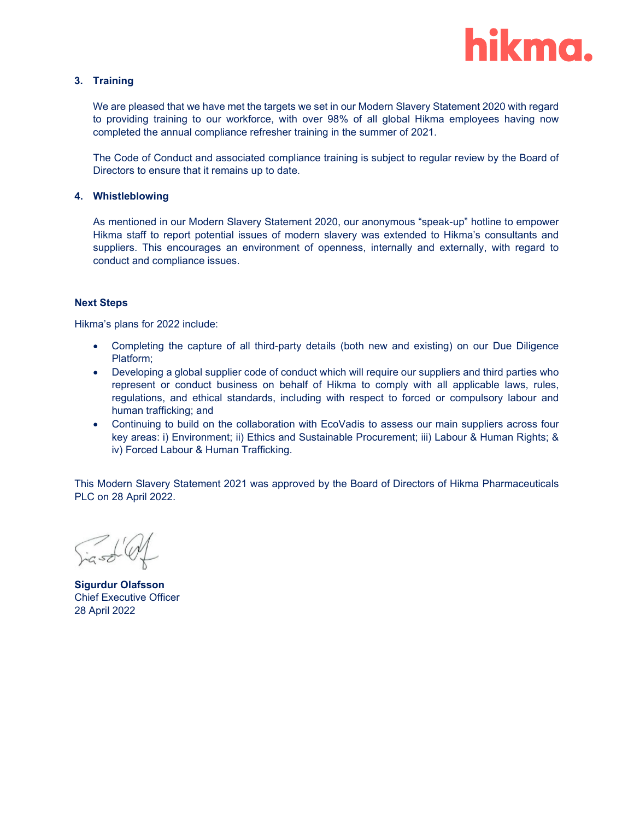

# **3. Training**

We are pleased that we have met the targets we set in our Modern Slavery Statement 2020 with regard to providing training to our workforce, with over 98% of all global Hikma employees having now completed the annual compliance refresher training in the summer of 2021.

The Code of Conduct and associated compliance training is subject to regular review by the Board of Directors to ensure that it remains up to date.

# **4. Whistleblowing**

As mentioned in our Modern Slavery Statement 2020, our anonymous "speak-up" hotline to empower Hikma staff to report potential issues of modern slavery was extended to Hikma's consultants and suppliers. This encourages an environment of openness, internally and externally, with regard to conduct and compliance issues.

### **Next Steps**

Hikma's plans for 2022 include:

- Completing the capture of all third-party details (both new and existing) on our Due Diligence Platform;
- Developing a global supplier code of conduct which will require our suppliers and third parties who represent or conduct business on behalf of Hikma to comply with all applicable laws, rules, regulations, and ethical standards, including with respect to forced or compulsory labour and human trafficking; and
- Continuing to build on the collaboration with EcoVadis to assess our main suppliers across four key areas: i) Environment; ii) Ethics and Sustainable Procurement; iii) Labour & Human Rights; & iv) Forced Labour & Human Trafficking.

This Modern Slavery Statement 2021 was approved by the Board of Directors of Hikma Pharmaceuticals PLC on 28 April 2022.

rasd Of

**Sigurdur Olafsson** Chief Executive Officer 28 April 2022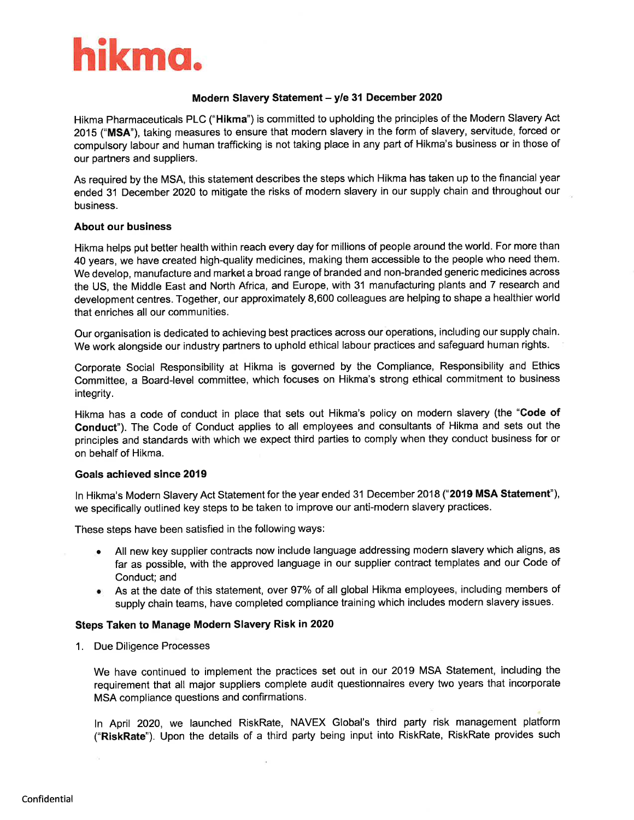

# Modern Slavery Statement - y/e 31 December 2020

Hikma Pharmaceuticals PLC ("Hikma") is committed to upholding the principles of the Modern Slavery Act 2015 ("MSA"), taking measures to ensure that modern slavery in the form of slavery, servitude, forced or compulsory labour and human trafficking is not taking place in any part of Hikma's business or in those of our partners and suppliers.

As required by the MSA, this statement describes the steps which Hikma has taken up to the financial year ended 31 December 2020 to mitigate the risks of modern slavery in our supply chain and throughout our business.

# **About our business**

Hikma helps put better health within reach every day for millions of people around the world. For more than 40 years, we have created high-quality medicines, making them accessible to the people who need them. We develop, manufacture and market a broad range of branded and non-branded generic medicines across the US, the Middle East and North Africa, and Europe, with 31 manufacturing plants and 7 research and development centres. Together, our approximately 8,600 colleagues are helping to shape a healthier world that enriches all our communities.

Our organisation is dedicated to achieving best practices across our operations, including our supply chain. We work alongside our industry partners to uphold ethical labour practices and safeguard human rights.

Corporate Social Responsibility at Hikma is governed by the Compliance, Responsibility and Ethics Committee, a Board-level committee, which focuses on Hikma's strong ethical commitment to business integrity.

Hikma has a code of conduct in place that sets out Hikma's policy on modern slavery (the "Code of Conduct"). The Code of Conduct applies to all employees and consultants of Hikma and sets out the principles and standards with which we expect third parties to comply when they conduct business for or on behalf of Hikma.

### Goals achieved since 2019

In Hikma's Modern Slavery Act Statement for the year ended 31 December 2018 ("2019 MSA Statement"), we specifically outlined key steps to be taken to improve our anti-modern slavery practices.

These steps have been satisfied in the following ways:

- . All new key supplier contracts now include language addressing modern slavery which aligns, as far as possible, with the approved language in our supplier contract templates and our Code of Conduct; and
- As at the date of this statement, over 97% of all global Hikma employees, including members of  $\bullet$ supply chain teams, have completed compliance training which includes modern slavery issues.

# Steps Taken to Manage Modern Slavery Risk in 2020

1. Due Diligence Processes

We have continued to implement the practices set out in our 2019 MSA Statement, including the requirement that all major suppliers complete audit questionnaires every two years that incorporate MSA compliance questions and confirmations.

In April 2020, we launched RiskRate, NAVEX Global's third party risk management platform ("RiskRate"). Upon the details of a third party being input into RiskRate, RiskRate provides such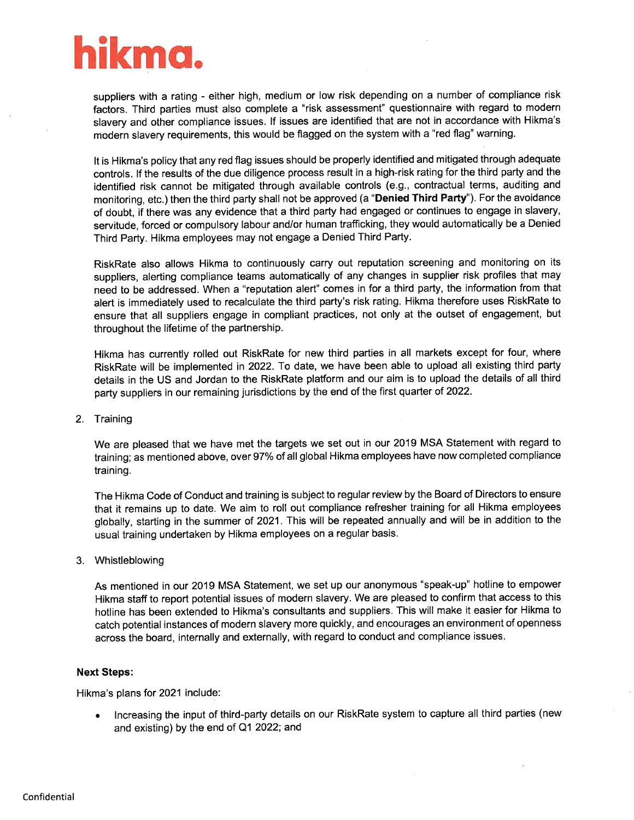

suppliers with a rating - either high, medium or low risk depending on a number of compliance risk factors. Third parties must also complete a "risk assessment" questionnaire with regard to modern slavery and other compliance issues. If issues are identified that are not in accordance with Hikma's modern slavery requirements, this would be flagged on the system with a "red flag" warning.

It is Hikma's policy that any red flag issues should be properly identified and mitigated through adequate controls. If the results of the due diligence process result in a high-risk rating for the third party and the identified risk cannot be mitigated through available controls (e.g., contractual terms, auditing and monitoring, etc.) then the third party shall not be approved (a "Denied Third Party"). For the avoidance of doubt, if there was any evidence that a third party had engaged or continues to engage in slavery, servitude, forced or compulsory labour and/or human trafficking, they would automatically be a Denied Third Party. Hikma employees may not engage a Denied Third Party.

RiskRate also allows Hikma to continuously carry out reputation screening and monitoring on its suppliers, alerting compliance teams automatically of any changes in supplier risk profiles that may need to be addressed. When a "reputation alert" comes in for a third party, the information from that alert is immediately used to recalculate the third party's risk rating. Hikma therefore uses RiskRate to ensure that all suppliers engage in compliant practices, not only at the outset of engagement, but throughout the lifetime of the partnership.

Hikma has currently rolled out RiskRate for new third parties in all markets except for four, where RiskRate will be implemented in 2022. To date, we have been able to upload all existing third party details in the US and Jordan to the RiskRate platform and our aim is to upload the details of all third party suppliers in our remaining jurisdictions by the end of the first quarter of 2022.

2. Training

We are pleased that we have met the targets we set out in our 2019 MSA Statement with regard to training; as mentioned above, over 97% of all global Hikma employees have now completed compliance training.

The Hikma Code of Conduct and training is subject to regular review by the Board of Directors to ensure that it remains up to date. We aim to roll out compliance refresher training for all Hikma employees globally, starting in the summer of 2021. This will be repeated annually and will be in addition to the usual training undertaken by Hikma employees on a regular basis.

3. Whistleblowing

As mentioned in our 2019 MSA Statement, we set up our anonymous "speak-up" hotline to empower Hikma staff to report potential issues of modern slavery. We are pleased to confirm that access to this hotline has been extended to Hikma's consultants and suppliers. This will make it easier for Hikma to catch potential instances of modern slavery more quickly, and encourages an environment of openness across the board, internally and externally, with regard to conduct and compliance issues.

# **Next Steps:**

Hikma's plans for 2021 include:

Increasing the input of third-party details on our RiskRate system to capture all third parties (new  $\bullet$ and existing) by the end of Q1 2022; and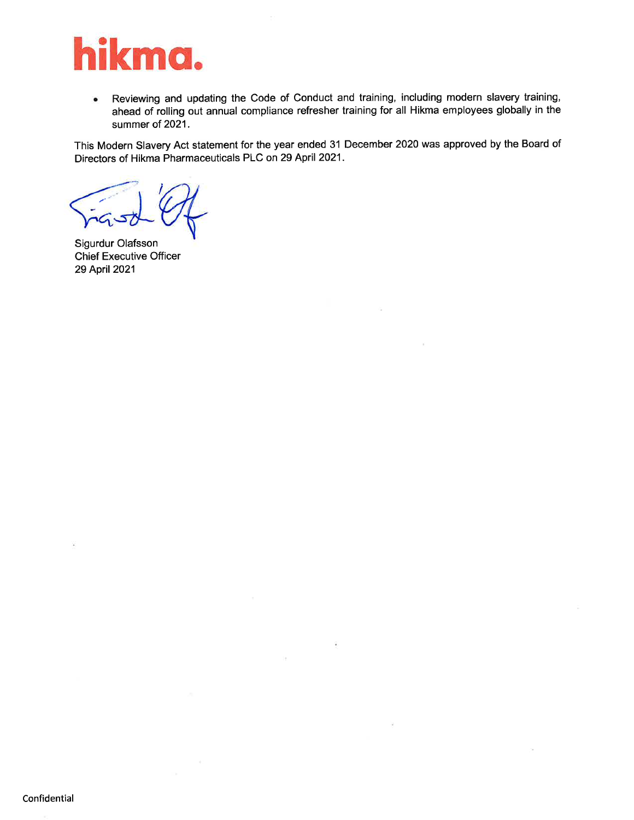

Reviewing and updating the Code of Conduct and training, including modern slavery training,  $\bullet$ ahead of rolling out annual compliance refresher training for all Hikma employees globally in the summer of 2021.

 $\hat{\mathbf{r}}$ 

1è.

This Modern Slavery Act statement for the year ended 31 December 2020 was approved by the Board of Directors of Hikma Pharmaceuticals PLC on 29 April 2021.

Sigurdur Olafsson **Chief Executive Officer** 29 April 2021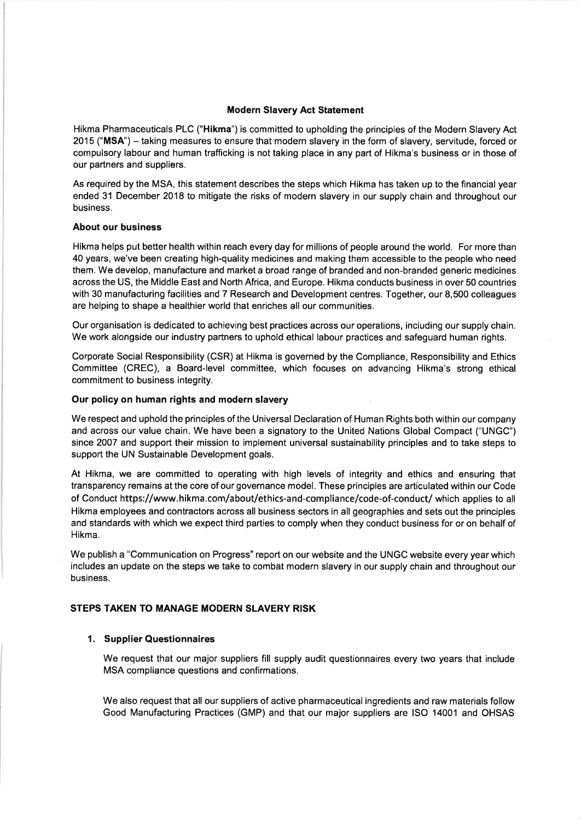# **Modern Slavery Act Statement**

Hikma Pharmaceuticals PLC ("Hikma") is committed to upholding the principles of the Modern Slavery Act 2015 ("MSA") – taking measures to ensure that modern slavery in the form of slavery, servitude, forced or compulsory labour and human trafficking is not taking place in any part of Hikma's business or in those of our partners and suppliers.

As required by the MSA, this statement describes the steps which Hikma has taken up to the financial year ended 31 December 2018 to mitigate the risks of modern slavery in our supply chain and throughout our business.

### **About our business**

Hikma helps put better health within reach every day for millions of people around the world. For more than 40 years, we've been creating high-quality medicines and making them accessible to the people who need them. We develop, manufacture and market a broad range of branded and non-branded generic medicines across the US, the Middle East and North Africa, and Europe. Hikma conducts business in over 50 countries with 30 manufacturing facilities and 7 Research and Development centres. Together, our 8,500 colleagues are helping to shape a healthier world that enriches all our communities.

Our organisation is dedicated to achieving best practices across our operations, including our supply chain. We work alongside our industry partners to uphold ethical labour practices and safeguard human rights.

Corporate Social Responsibility (CSR) at Hikma is governed by the Compliance, Responsibility and Ethics Committee (CREC), a Board-level committee, which focuses on advancing Hikma's strong ethical commitment to business integrity.

### Our policy on human rights and modern slavery

We respect and uphold the principles of the Universal Declaration of Human Rights both within our company and across our value chain. We have been a signatory to the United Nations Global Compact ("UNGC") since 2007 and support their mission to implement universal sustainability principles and to take steps to support the UN Sustainable Development goals.

At Hikma, we are committed to operating with high levels of integrity and ethics and ensuring that transparency remains at the core of our governance model. These principles are articulated within our Code of Conduct https://www.hikma.com/about/ethics-and-compliance/code-of-conduct/ which applies to all Hikma employees and contractors across all business sectors in all geographies and sets out the principles and standards with which we expect third parties to comply when they conduct business for or on behalf of Hikma.

We publish a "Communication on Progress" report on our website and the UNGC website every year which includes an update on the steps we take to combat modern slavery in our supply chain and throughout our husiness

# STEPS TAKEN TO MANAGE MODERN SLAVERY RISK

# 1. Supplier Questionnaires

We request that our major suppliers fill supply audit questionnaires every two years that include MSA compliance questions and confirmations.

We also request that all our suppliers of active pharmaceutical ingredients and raw materials follow Good Manufacturing Practices (GMP) and that our major suppliers are ISO 14001 and OHSAS